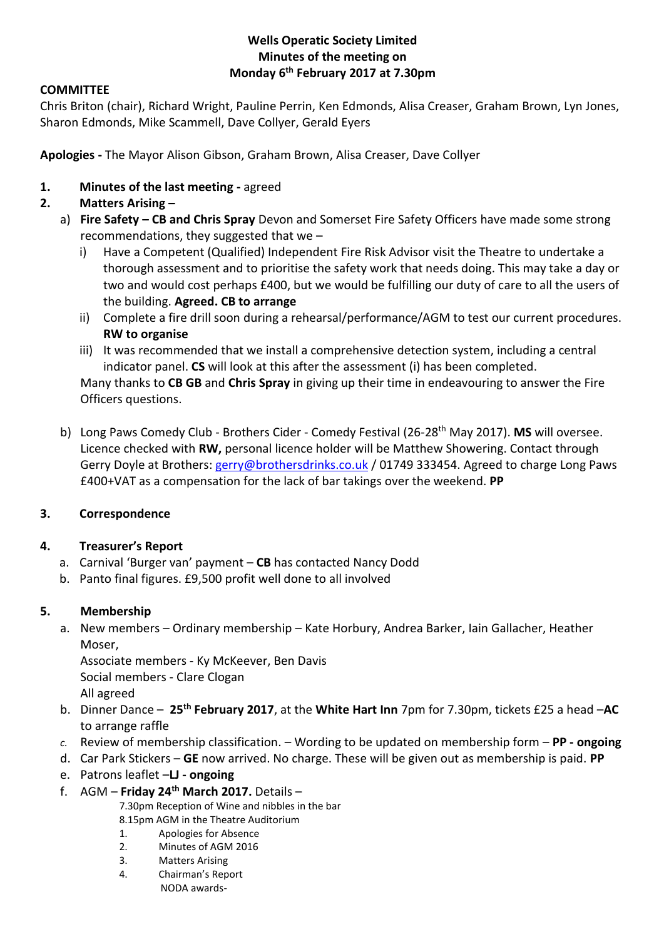# **Wells Operatic Society Limited Minutes of the meeting on Monday 6 th February 2017 at 7.30pm**

### **COMMITTEE**

Chris Briton (chair), Richard Wright, Pauline Perrin, Ken Edmonds, Alisa Creaser, Graham Brown, Lyn Jones, Sharon Edmonds, Mike Scammell, Dave Collyer, Gerald Eyers

**Apologies -** The Mayor Alison Gibson, Graham Brown, Alisa Creaser, Dave Collyer

**1. Minutes of the last meeting -** agreed

# **2. Matters Arising –**

- a) **Fire Safety – CB and Chris Spray** Devon and Somerset Fire Safety Officers have made some strong recommendations, they suggested that we –
	- i) Have a Competent (Qualified) Independent Fire Risk Advisor visit the Theatre to undertake a thorough assessment and to prioritise the safety work that needs doing. This may take a day or two and would cost perhaps £400, but we would be fulfilling our duty of care to all the users of the building. **Agreed. CB to arrange**
	- ii) Complete a fire drill soon during a rehearsal/performance/AGM to test our current procedures. **RW to organise**
	- iii) It was recommended that we install a comprehensive detection system, including a central indicator panel. **CS** will look at this after the assessment (i) has been completed. Many thanks to **CB GB** and **Chris Spray** in giving up their time in endeavouring to answer the Fire
	- Officers questions.
- b) Long Paws Comedy Club Brothers Cider Comedy Festival (26-28th May 2017). **MS** will oversee. Licence checked with **RW,** personal licence holder will be Matthew Showering. Contact through Gerry Doyle at Brothers: [gerry@brothersdrinks.co.uk](mailto:gerry@brothersdrinks.co.uk) / 01749 333454. Agreed to charge Long Paws £400+VAT as a compensation for the lack of bar takings over the weekend. **PP**

# **3. Correspondence**

# **4. Treasurer's Report**

- a. Carnival 'Burger van' payment **CB** has contacted Nancy Dodd
- b. Panto final figures. £9,500 profit well done to all involved

# **5. Membership**

a. New members – Ordinary membership – Kate Horbury, Andrea Barker, Iain Gallacher, Heather Moser,

Associate members - Ky McKeever, Ben Davis Social members - Clare Clogan

- All agreed
- b. Dinner Dance **25th February 2017**, at the **White Hart Inn** 7pm for 7.30pm, tickets £25 a head –**AC** to arrange raffle
- *c.* Review of membership classification. Wording to be updated on membership form **PP - ongoing**
- d. Car Park Stickers **GE** now arrived. No charge. These will be given out as membership is paid. **PP**
- e. Patrons leaflet –**LJ - ongoing**
- f. AGM **Friday 24th March 2017.** Details –

7.30pm Reception of Wine and nibbles in the bar

- 8.15pm AGM in the Theatre Auditorium
- 1. Apologies for Absence
- 2. Minutes of AGM 2016
- 3. Matters Arising
- 4. Chairman's Report
	- NODA awards-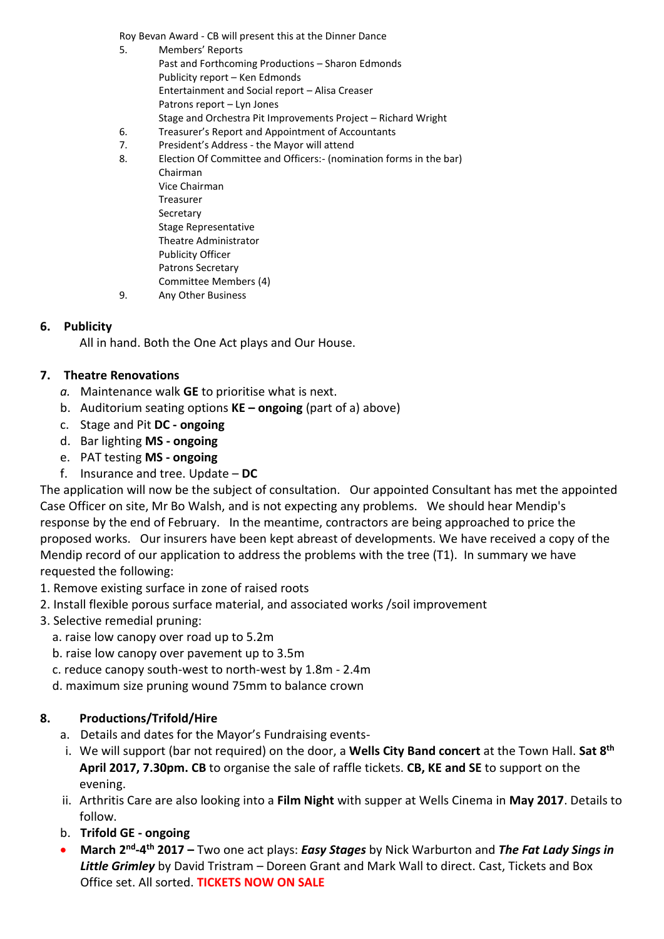Roy Bevan Award - CB will present this at the Dinner Dance

- 5. Members' Reports Past and Forthcoming Productions – Sharon Edmonds Publicity report – Ken Edmonds Entertainment and Social report – Alisa Creaser Patrons report – Lyn Jones Stage and Orchestra Pit Improvements Project – Richard Wright
- 6. Treasurer's Report and Appointment of Accountants<br>7. President's Address the Mayor will attend
- President's Address the Mayor will attend
- 8. Election Of Committee and Officers:- (nomination forms in the bar) Chairman Vice Chairman Treasurer Secretary Stage Representative Theatre Administrator Publicity Officer Patrons Secretary Committee Members (4) 9. Any Other Business

#### **6. Publicity**

All in hand. Both the One Act plays and Our House.

#### **7. Theatre Renovations**

- *a.* Maintenance walk **GE** to prioritise what is next.
- b. Auditorium seating options **KE – ongoing** (part of a) above)
- c. Stage and Pit **DC - ongoing**
- d. Bar lighting **MS - ongoing**
- e. PAT testing **MS - ongoing**
- f. Insurance and tree. Update **DC**

The application will now be the subject of consultation. Our appointed Consultant has met the appointed Case Officer on site, Mr Bo Walsh, and is not expecting any problems. We should hear Mendip's response by the end of February. In the meantime, contractors are being approached to price the proposed works. Our insurers have been kept abreast of developments. We have received a copy of the Mendip record of our application to address the problems with the tree (T1). In summary we have requested the following:

- 1. Remove existing surface in zone of raised roots
- 2. Install flexible porous surface material, and associated works /soil improvement
- 3. Selective remedial pruning:
	- a. raise low canopy over road up to 5.2m
	- b. raise low canopy over pavement up to 3.5m
	- c. reduce canopy south-west to north-west by 1.8m 2.4m
	- d. maximum size pruning wound 75mm to balance crown

### **8. Productions/Trifold/Hire**

- a. Details and dates for the Mayor's Fundraising events-
- i. We will support (bar not required) on the door, a **Wells City Band concert** at the Town Hall. **Sat 8th April 2017, 7.30pm. CB** to organise the sale of raffle tickets. **CB, KE and SE** to support on the evening.
- ii. Arthritis Care are also looking into a **Film Night** with supper at Wells Cinema in **May 2017**. Details to follow.
- b. **Trifold GE - ongoing**
- **March 2<sup>nd</sup>-4<sup>th</sup> 2017 –** Two one act plays: *Easy Stages* by Nick Warburton and *The Fat Lady Sings in Little Grimley* by David Tristram – Doreen Grant and Mark Wall to direct. Cast, Tickets and Box Office set. All sorted. **TICKETS NOW ON SALE**